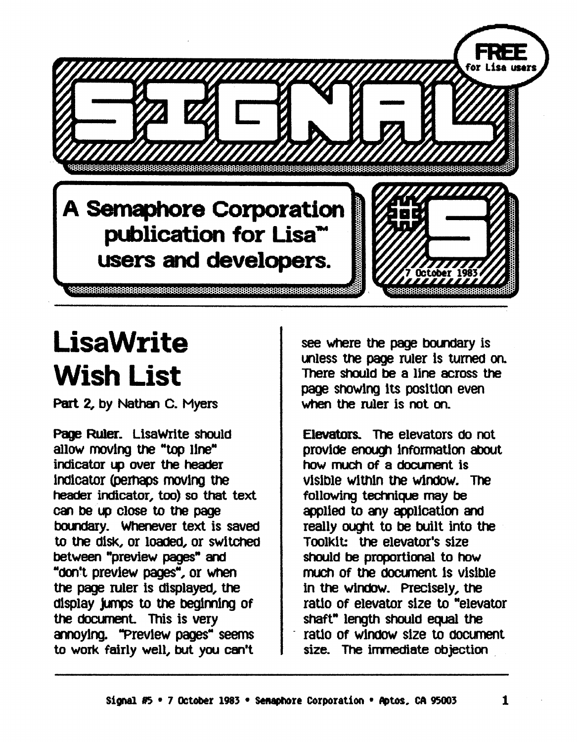

## **LisaWrite** Wish List

Part 2, by Nathan C. Myers

Page Ruler. LisaWrite should allow moving the "top line" indicator up over the header Indicator (pernaps moving the header indicator, too) so that text can be up close to the page boundary. Whenever text is saved to the diSk, or loaded, or switched between "preview pages" and "dOn't preview pages", or When the page ruler is displayed, the display jumps to the beginning of the document. This is very annoying. "Preview pages" seems to work fairly well, but you can't

see where the page boundary is unless the page ruler is turned on. There should be a line across the page showing its position even when the ruler is not on.

Elevators.. The elevators do not provide enough information about how much of a document is visible within the window. The following technique may be appI1ed to any appI1cation and really ought to be built into the ToolkIt: the elevator's sIze should be proportional to how much of the document is visible. in the windoW. Precisely, the ratio of elevator sIze to "elevator shaft" length should equal the ratio of window size to document size. The immediate objection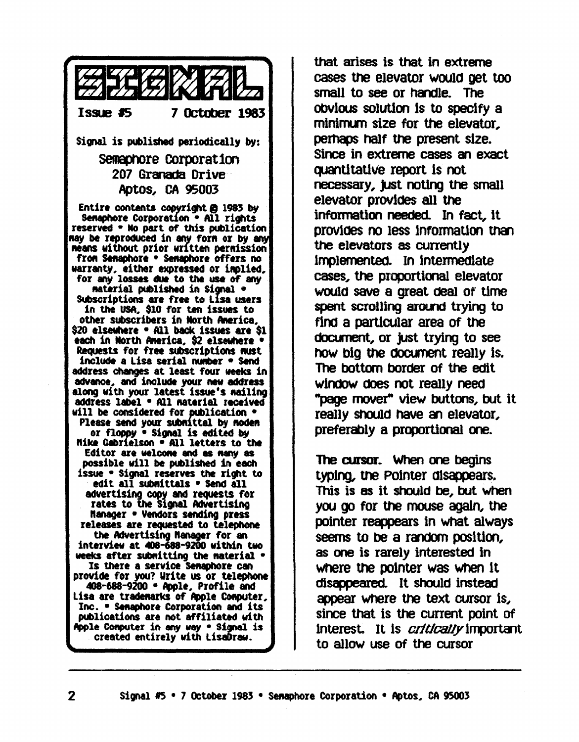

that arises is that in extreme cases the elevator would get too small to see or handle. The obvious solution is to specify a minimum size for the elevator, perhaps half the present size. Since in extreme cases an exact quantitative report is not necessary, just noting the small elevator provides all the information needed. In fact, it provides no less information than the elevators as currently implemented. In intermediate cases, the proportional elevator would save a great deal of time spent scrolling around trying to find a particular area of the document, or just trying to see how big the document really is. The bottom border of the edit window does not really need **"page mover" view buttons, but it** really should have an elevator, preferably a proportional one.

The cursor. When one begins typing, the Pointer disappears, This is as it should be, but when you go for the mouse again, the pointer reappears in what always seems to be a random position, as one is rarely interested in where the pointer was when it disappeared. It should instead appear where the text cursor is, since that is the current point of interest. It is *critically* important to allow use of the cursor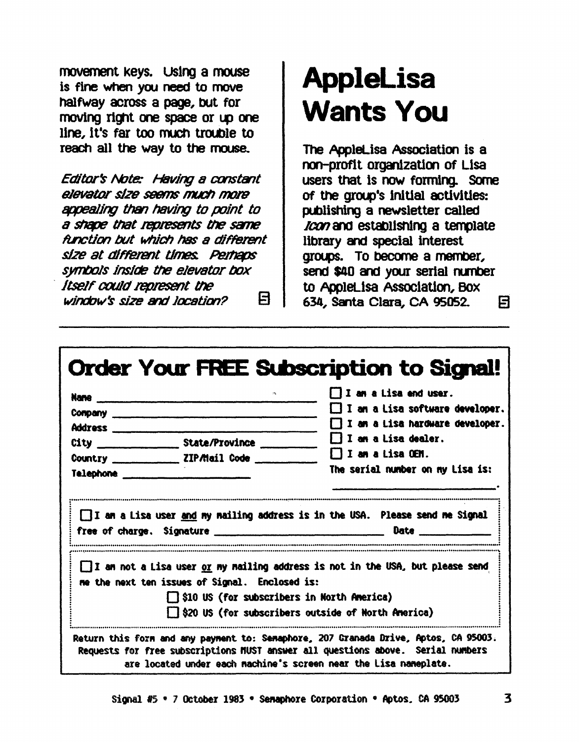movement keys. Using a mouse is fine when you need to move halfway across a page, but for moving right one space or up one line, it's far too much trouble to reach all the way to the mouse.

Editor's Note: Having a constant elevator size seems much more appealing than having to point to a shape that represents the same function but which has a different size at different times. Perhaps symbols inside the elevator box Itself could represent the 日 window's size and location?

## **AppleLisa Wants You**

The AppleLisa Association is a non-profit organization of Lisa users that is now forming. Some of the group's initial activities: publishing a newsletter called Ican and establishing a template library and special interest groups. To become a member, send \$40 and your serial number to AppleLisa Association, Box 634, Santa Clara, CA 95052. 日

| <u>Nane __________________</u> | $\mathcal{D}_{\mathbf{r}}$ .                        | $\Box$ I am a Lisa end user.                                                                |
|--------------------------------|-----------------------------------------------------|---------------------------------------------------------------------------------------------|
|                                |                                                     | $\Box$ I an a Lisa software developer.                                                      |
|                                |                                                     | $\Box$ I am a Lisa hardware developer.                                                      |
|                                |                                                     | $\Box$ I an a Lisa dealer.                                                                  |
|                                | Country ____________________ ZIP/Mail Code ________ | $\Box$ I am a Lisa OEM.                                                                     |
| <b>Telephone Example 2019</b>  |                                                     | The serial number on my Lisa is:                                                            |
|                                |                                                     | I am a Lisa user and my mailing address is in the USA. Please send me Signal<br><b>Date</b> |
|                                |                                                     |                                                                                             |